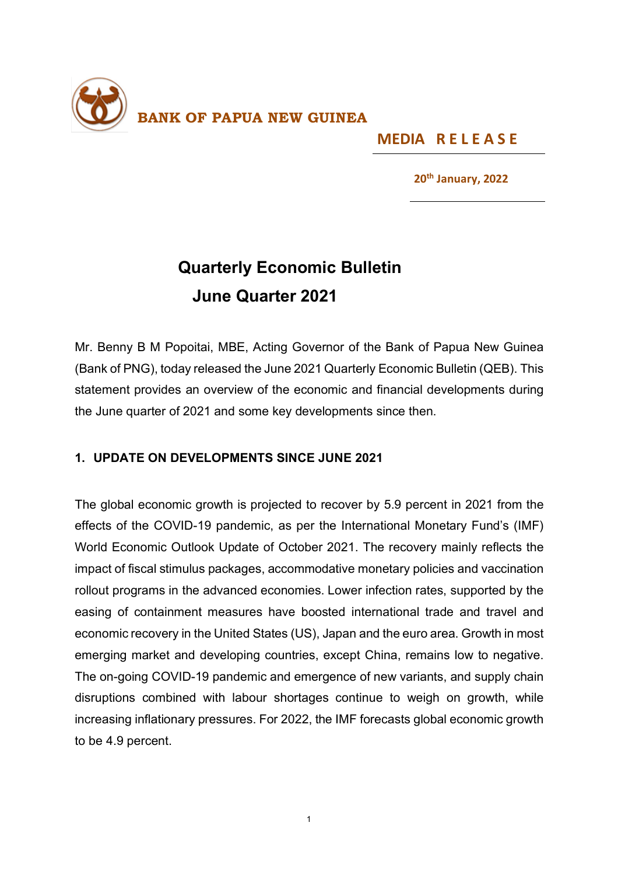

**MEDIA R E L E A S E** 

**20th January, 2022**

## **Quarterly Economic Bulletin June Quarter 2021**

Mr. Benny B M Popoitai, MBE, Acting Governor of the Bank of Papua New Guinea (Bank of PNG), today released the June 2021 Quarterly Economic Bulletin (QEB). This statement provides an overview of the economic and financial developments during the June quarter of 2021 and some key developments since then.

## **1. UPDATE ON DEVELOPMENTS SINCE JUNE 2021**

The global economic growth is projected to recover by 5.9 percent in 2021 from the effects of the COVID-19 pandemic, as per the International Monetary Fund's (IMF) World Economic Outlook Update of October 2021. The recovery mainly reflects the impact of fiscal stimulus packages, accommodative monetary policies and vaccination rollout programs in the advanced economies. Lower infection rates, supported by the easing of containment measures have boosted international trade and travel and economic recovery in the United States (US), Japan and the euro area. Growth in most emerging market and developing countries, except China, remains low to negative. The on-going COVID-19 pandemic and emergence of new variants, and supply chain disruptions combined with labour shortages continue to weigh on growth, while increasing inflationary pressures. For 2022, the IMF forecasts global economic growth to be 4.9 percent.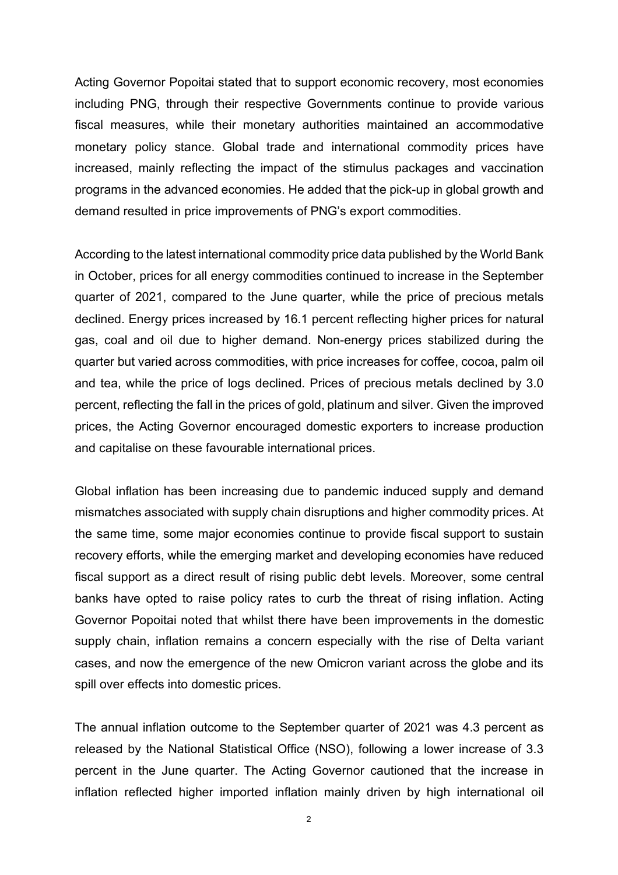Acting Governor Popoitai stated that to support economic recovery, most economies including PNG, through their respective Governments continue to provide various fiscal measures, while their monetary authorities maintained an accommodative monetary policy stance. Global trade and international commodity prices have increased, mainly reflecting the impact of the stimulus packages and vaccination programs in the advanced economies. He added that the pick-up in global growth and demand resulted in price improvements of PNG's export commodities.

According to the latest international commodity price data published by the World Bank in October, prices for all energy commodities continued to increase in the September quarter of 2021, compared to the June quarter, while the price of precious metals declined. Energy prices increased by 16.1 percent reflecting higher prices for natural gas, coal and oil due to higher demand. Non-energy prices stabilized during the quarter but varied across commodities, with price increases for coffee, cocoa, palm oil and tea, while the price of logs declined. Prices of precious metals declined by 3.0 percent, reflecting the fall in the prices of gold, platinum and silver. Given the improved prices, the Acting Governor encouraged domestic exporters to increase production and capitalise on these favourable international prices.

Global inflation has been increasing due to pandemic induced supply and demand mismatches associated with supply chain disruptions and higher commodity prices. At the same time, some major economies continue to provide fiscal support to sustain recovery efforts, while the emerging market and developing economies have reduced fiscal support as a direct result of rising public debt levels. Moreover, some central banks have opted to raise policy rates to curb the threat of rising inflation. Acting Governor Popoitai noted that whilst there have been improvements in the domestic supply chain, inflation remains a concern especially with the rise of Delta variant cases, and now the emergence of the new Omicron variant across the globe and its spill over effects into domestic prices.

The annual inflation outcome to the September quarter of 2021 was 4.3 percent as released by the National Statistical Office (NSO), following a lower increase of 3.3 percent in the June quarter. The Acting Governor cautioned that the increase in inflation reflected higher imported inflation mainly driven by high international oil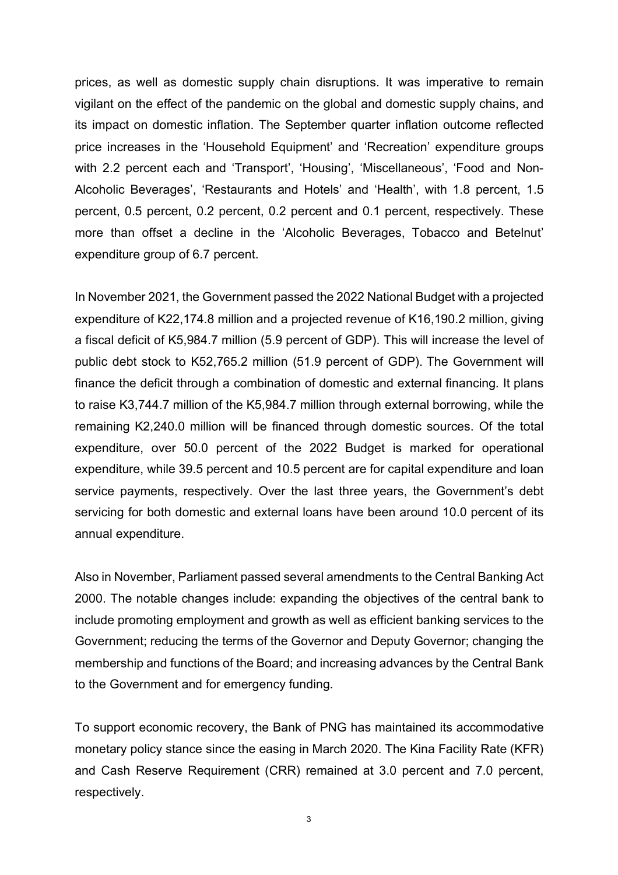prices, as well as domestic supply chain disruptions. It was imperative to remain vigilant on the effect of the pandemic on the global and domestic supply chains, and its impact on domestic inflation. The September quarter inflation outcome reflected price increases in the 'Household Equipment' and 'Recreation' expenditure groups with 2.2 percent each and 'Transport', 'Housing', 'Miscellaneous', 'Food and Non-Alcoholic Beverages', 'Restaurants and Hotels' and 'Health', with 1.8 percent, 1.5 percent, 0.5 percent, 0.2 percent, 0.2 percent and 0.1 percent, respectively. These more than offset a decline in the 'Alcoholic Beverages, Tobacco and Betelnut' expenditure group of 6.7 percent.

In November 2021, the Government passed the 2022 National Budget with a projected expenditure of K22,174.8 million and a projected revenue of K16,190.2 million, giving a fiscal deficit of K5,984.7 million (5.9 percent of GDP). This will increase the level of public debt stock to K52,765.2 million (51.9 percent of GDP). The Government will finance the deficit through a combination of domestic and external financing. It plans to raise K3,744.7 million of the K5,984.7 million through external borrowing, while the remaining K2,240.0 million will be financed through domestic sources. Of the total expenditure, over 50.0 percent of the 2022 Budget is marked for operational expenditure, while 39.5 percent and 10.5 percent are for capital expenditure and loan service payments, respectively. Over the last three years, the Government's debt servicing for both domestic and external loans have been around 10.0 percent of its annual expenditure.

Also in November, Parliament passed several amendments to the Central Banking Act 2000. The notable changes include: expanding the objectives of the central bank to include promoting employment and growth as well as efficient banking services to the Government; reducing the terms of the Governor and Deputy Governor; changing the membership and functions of the Board; and increasing advances by the Central Bank to the Government and for emergency funding.

To support economic recovery, the Bank of PNG has maintained its accommodative monetary policy stance since the easing in March 2020. The Kina Facility Rate (KFR) and Cash Reserve Requirement (CRR) remained at 3.0 percent and 7.0 percent, respectively.

3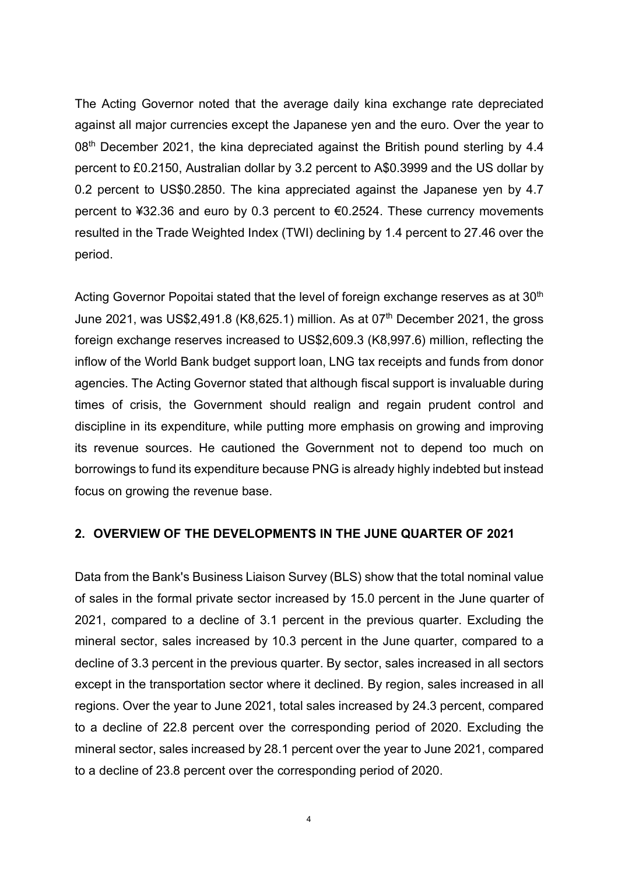The Acting Governor noted that the average daily kina exchange rate depreciated against all major currencies except the Japanese yen and the euro. Over the year to 08<sup>th</sup> December 2021, the kina depreciated against the British pound sterling by 4.4 percent to £0.2150, Australian dollar by 3.2 percent to A\$0.3999 and the US dollar by 0.2 percent to US\$0.2850. The kina appreciated against the Japanese yen by 4.7 percent to ¥32.36 and euro by 0.3 percent to €0.2524. These currency movements resulted in the Trade Weighted Index (TWI) declining by 1.4 percent to 27.46 over the period.

Acting Governor Popoitai stated that the level of foreign exchange reserves as at 30<sup>th</sup> June 2021, was US\$2,491.8 (K8,625.1) million. As at 07<sup>th</sup> December 2021, the gross foreign exchange reserves increased to US\$2,609.3 (K8,997.6) million, reflecting the inflow of the World Bank budget support loan, LNG tax receipts and funds from donor agencies. The Acting Governor stated that although fiscal support is invaluable during times of crisis, the Government should realign and regain prudent control and discipline in its expenditure, while putting more emphasis on growing and improving its revenue sources. He cautioned the Government not to depend too much on borrowings to fund its expenditure because PNG is already highly indebted but instead focus on growing the revenue base.

## **2. OVERVIEW OF THE DEVELOPMENTS IN THE JUNE QUARTER OF 2021**

Data from the Bank's Business Liaison Survey (BLS) show that the total nominal value of sales in the formal private sector increased by 15.0 percent in the June quarter of 2021, compared to a decline of 3.1 percent in the previous quarter. Excluding the mineral sector, sales increased by 10.3 percent in the June quarter, compared to a decline of 3.3 percent in the previous quarter. By sector, sales increased in all sectors except in the transportation sector where it declined. By region, sales increased in all regions. Over the year to June 2021, total sales increased by 24.3 percent, compared to a decline of 22.8 percent over the corresponding period of 2020. Excluding the mineral sector, sales increased by 28.1 percent over the year to June 2021, compared to a decline of 23.8 percent over the corresponding period of 2020.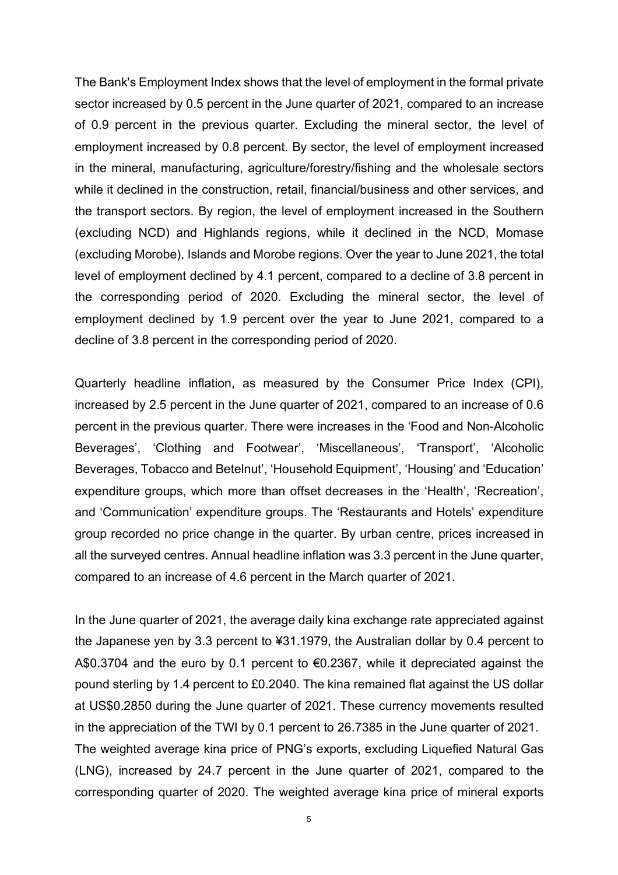The Bank's Employment Index shows that the level of employment in the formal private sector increased by 0.5 percent in the June quarter of 2021, compared to an increase of 0.9 percent in the previous quarter. Excluding the mineral sector, the level of employment increased by 0.8 percent. By sector, the level of employment increased in the mineral, manufacturing, agriculture/forestry/fishing and the wholesale sectors while it declined in the construction, retail, financial/business and other services, and the transport sectors. By region, the level of employment increased in the Southern (excluding NCD) and Highlands regions, while it declined in the NCD, Momase (excluding Morobe), Islands and Morobe regions. Over the year to June 2021, the total level of employment declined by 4.1 percent, compared to a decline of 3.8 percent in the corresponding period of 2020. Excluding the mineral sector, the level of employment declined by 1.9 percent over the year to June 2021, compared to a decline of 3.8 percent in the corresponding period of 2020.

Quarterly headline inflation, as measured by the Consumer Price Index (CPI), increased by 2.5 percent in the June quarter of 2021, compared to an increase of 0.6 percent in the previous quarter. There were increases in the 'Food and Non-Alcoholic Beverages', 'Clothing and Footwear', 'Miscellaneous', 'Transport', 'Alcoholic Beverages, Tobacco and Betelnut', 'Household Equipment', 'Housing' and 'Education' expenditure groups, which more than offset decreases in the 'Health', 'Recreation', and 'Communication' expenditure groups. The 'Restaurants and Hotels' expenditure group recorded no price change in the quarter. By urban centre, prices increased in all the surveyed centres. Annual headline inflation was 3.3 percent in the June quarter, compared to an increase of 4.6 percent in the March quarter of 2021.

In the June quarter of 2021, the average daily kina exchange rate appreciated against the Japanese yen by 3.3 percent to ¥31.1979, the Australian dollar by 0.4 percent to A\$0.3704 and the euro by 0.1 percent to €0.2367, while it depreciated against the pound sterling by 1.4 percent to £0.2040. The kina remained flat against the US dollar at US\$0.2850 during the June quarter of 2021. These currency movements resulted in the appreciation of the TWI by 0.1 percent to 26.7385 in the June quarter of 2021. The weighted average kina price of PNG's exports, excluding Liquefied Natural Gas (LNG), increased by 24.7 percent in the June quarter of 2021, compared to the corresponding quarter of 2020. The weighted average kina price of mineral exports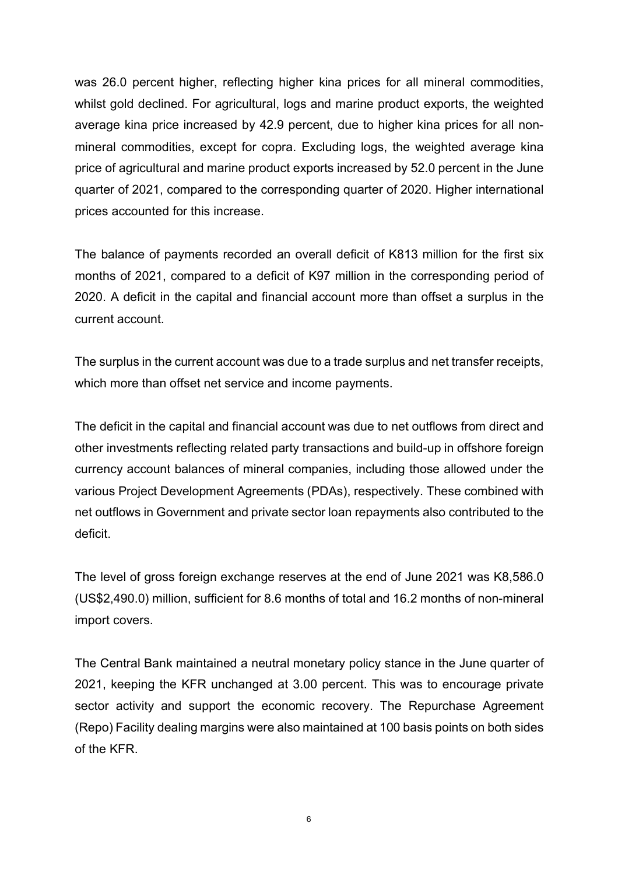was 26.0 percent higher, reflecting higher kina prices for all mineral commodities, whilst gold declined. For agricultural, logs and marine product exports, the weighted average kina price increased by 42.9 percent, due to higher kina prices for all nonmineral commodities, except for copra. Excluding logs, the weighted average kina price of agricultural and marine product exports increased by 52.0 percent in the June quarter of 2021, compared to the corresponding quarter of 2020. Higher international prices accounted for this increase.

The balance of payments recorded an overall deficit of K813 million for the first six months of 2021, compared to a deficit of K97 million in the corresponding period of 2020. A deficit in the capital and financial account more than offset a surplus in the current account.

The surplus in the current account was due to a trade surplus and net transfer receipts, which more than offset net service and income payments.

The deficit in the capital and financial account was due to net outflows from direct and other investments reflecting related party transactions and build-up in offshore foreign currency account balances of mineral companies, including those allowed under the various Project Development Agreements (PDAs), respectively. These combined with net outflows in Government and private sector loan repayments also contributed to the deficit.

The level of gross foreign exchange reserves at the end of June 2021 was K8,586.0 (US\$2,490.0) million, sufficient for 8.6 months of total and 16.2 months of non-mineral import covers.

The Central Bank maintained a neutral monetary policy stance in the June quarter of 2021, keeping the KFR unchanged at 3.00 percent. This was to encourage private sector activity and support the economic recovery. The Repurchase Agreement (Repo) Facility dealing margins were also maintained at 100 basis points on both sides of the KFR.

6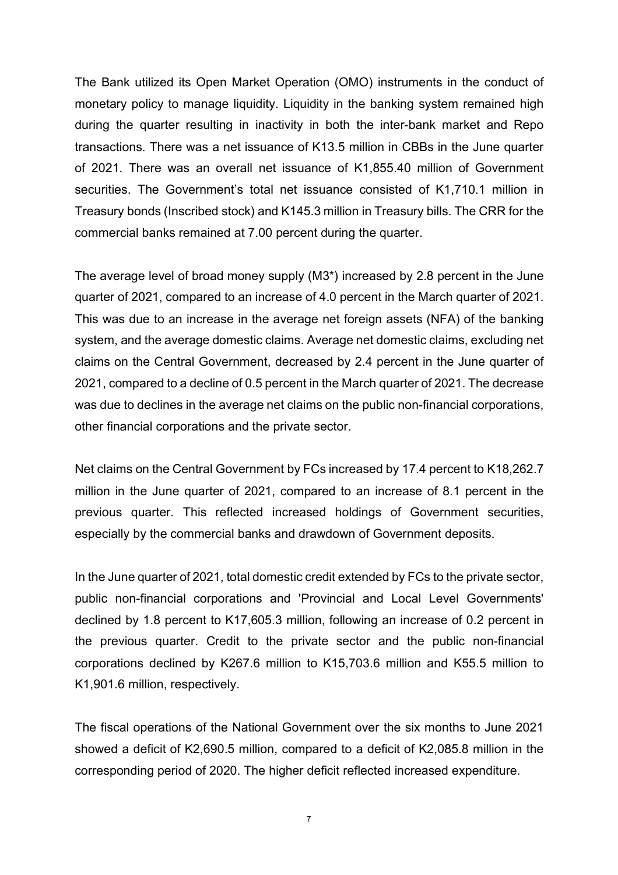The Bank utilized its Open Market Operation (OMO) instruments in the conduct of monetary policy to manage liquidity. Liquidity in the banking system remained high during the quarter resulting in inactivity in both the inter-bank market and Repo transactions. There was a net issuance of K13.5 million in CBBs in the June quarter of 2021. There was an overall net issuance of K1,855.40 million of Government securities. The Government's total net issuance consisted of K1,710.1 million in Treasury bonds (Inscribed stock) and K145.3 million in Treasury bills. The CRR for the commercial banks remained at 7.00 percent during the quarter.

The average level of broad money supply (M3\*) increased by 2.8 percent in the June quarter of 2021, compared to an increase of 4.0 percent in the March quarter of 2021. This was due to an increase in the average net foreign assets (NFA) of the banking system, and the average domestic claims. Average net domestic claims, excluding net claims on the Central Government, decreased by 2.4 percent in the June quarter of 2021, compared to a decline of 0.5 percent in the March quarter of 2021. The decrease was due to declines in the average net claims on the public non-financial corporations, other financial corporations and the private sector.

Net claims on the Central Government by FCs increased by 17.4 percent to K18,262.7 million in the June quarter of 2021, compared to an increase of 8.1 percent in the previous quarter. This reflected increased holdings of Government securities, especially by the commercial banks and drawdown of Government deposits.

In the June quarter of 2021, total domestic credit extended by FCs to the private sector, public non-financial corporations and 'Provincial and Local Level Governments' declined by 1.8 percent to K17,605.3 million, following an increase of 0.2 percent in the previous quarter. Credit to the private sector and the public non-financial corporations declined by K267.6 million to K15,703.6 million and K55.5 million to K1,901.6 million, respectively.

The fiscal operations of the National Government over the six months to June 2021 showed a deficit of K2,690.5 million, compared to a deficit of K2,085.8 million in the corresponding period of 2020. The higher deficit reflected increased expenditure.

7